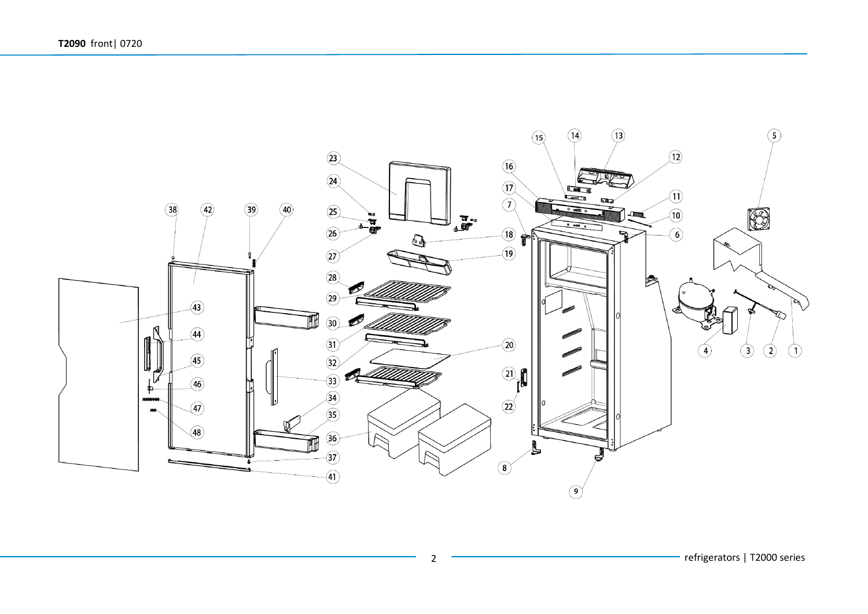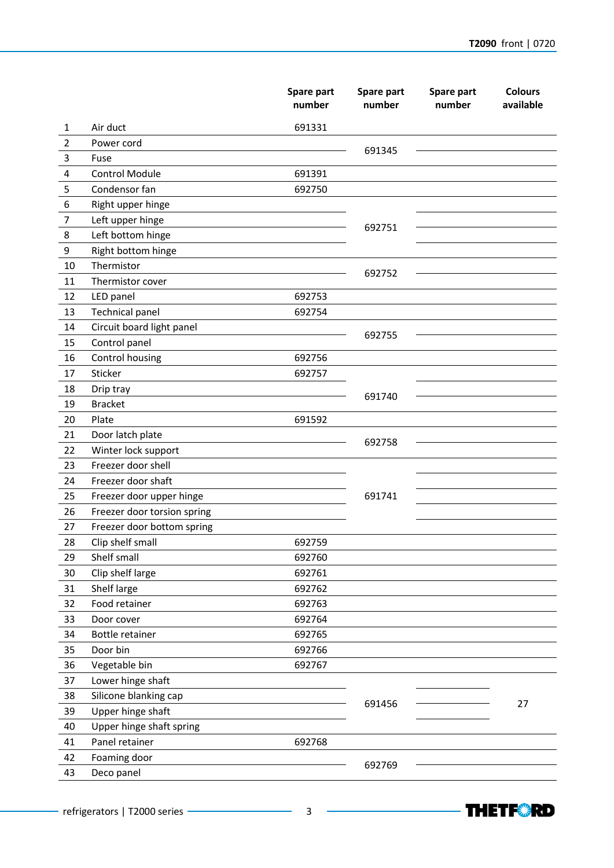|                |                             | Spare part<br>number | Spare part<br>number | Spare part<br>number | <b>Colours</b><br>available |
|----------------|-----------------------------|----------------------|----------------------|----------------------|-----------------------------|
| 1              | Air duct                    | 691331               |                      |                      |                             |
| 2              | Power cord                  |                      |                      |                      |                             |
| 3              | Fuse                        |                      | 691345               |                      |                             |
| 4              | <b>Control Module</b>       | 691391               |                      |                      |                             |
| 5              | Condensor fan               | 692750               |                      |                      |                             |
| 6              | Right upper hinge           |                      |                      |                      |                             |
| $\overline{7}$ | Left upper hinge            |                      | 692751               |                      |                             |
| 8              | Left bottom hinge           |                      |                      |                      |                             |
| 9              | Right bottom hinge          |                      |                      |                      |                             |
| 10             | Thermistor                  |                      | 692752               |                      |                             |
| 11             | Thermistor cover            |                      |                      |                      |                             |
| 12             | LED panel                   | 692753               |                      |                      |                             |
| 13             | <b>Technical panel</b>      | 692754               |                      |                      |                             |
| 14             | Circuit board light panel   |                      | 692755               |                      |                             |
| 15             | Control panel               |                      |                      |                      |                             |
| 16             | Control housing             | 692756               |                      |                      |                             |
| 17             | Sticker                     | 692757               |                      |                      |                             |
| 18             | Drip tray                   |                      | 691740               |                      |                             |
| 19             | <b>Bracket</b>              |                      |                      |                      |                             |
| 20             | Plate                       | 691592               |                      |                      |                             |
| 21             | Door latch plate            |                      | 692758               |                      |                             |
| 22             | Winter lock support         |                      |                      |                      |                             |
| 23             | Freezer door shell          |                      |                      |                      |                             |
| 24             | Freezer door shaft          |                      |                      |                      |                             |
| 25             | Freezer door upper hinge    |                      | 691741               |                      |                             |
| 26             | Freezer door torsion spring |                      |                      |                      |                             |
| 27             | Freezer door bottom spring  |                      |                      |                      |                             |
| 28             | Clip shelf small            | 692759               |                      |                      |                             |
| 29             | Shelf small                 | 692760               |                      |                      |                             |
| 30             | Clip shelf large            | 692761               |                      |                      |                             |
| 31             | Shelf large                 | 692762               |                      |                      |                             |
| 32             | Food retainer               | 692763               |                      |                      |                             |
| 33             | Door cover                  | 692764               |                      |                      |                             |
| 34             | Bottle retainer             | 692765               |                      |                      |                             |
| 35             | Door bin                    | 692766               |                      |                      |                             |
| 36             | Vegetable bin               | 692767               |                      |                      |                             |
| 37             | Lower hinge shaft           |                      |                      |                      |                             |
| 38             | Silicone blanking cap       |                      | 691456               |                      | 27                          |
| 39             | Upper hinge shaft           |                      |                      |                      |                             |
| 40             | Upper hinge shaft spring    |                      |                      |                      |                             |
| 41             | Panel retainer              | 692768               |                      |                      |                             |
| 42             | Foaming door                |                      | 692769               |                      |                             |
| 43             | Deco panel                  |                      |                      |                      |                             |